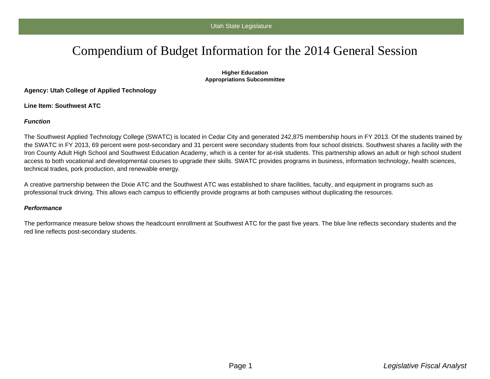# Compendium of Budget Information for the 2014 General Session

#### **Higher Education Appropriations Subcommittee**

**Agency: Utah College of Applied Technology**

**Line Item: Southwest ATC**

### **Function**

The Southwest Applied Technology College (SWATC) is located in Cedar City and generated 242,875 membership hours in FY 2013. Of the students trained by the SWATC in FY 2013, 69 percent were post-secondary and 31 percent were secondary students from four school districts. Southwest shares a facility with the Iron County Adult High School and Southwest Education Academy, which is a center for at-risk students. This partnership allows an adult or high school student access to both vocational and developmental courses to upgrade their skills. SWATC provides programs in business, information technology, health sciences, technical trades, pork production, and renewable energy.

A creative partnership between the Dixie ATC and the Southwest ATC was established to share facilities, faculty, and equipment in programs such as professional truck driving. This allows each campus to efficiently provide programs at both campuses without duplicating the resources.

#### **Performance**

The performance measure below shows the headcount enrollment at Southwest ATC for the past five years. The blue line reflects secondary students and the red line reflects post-secondary students.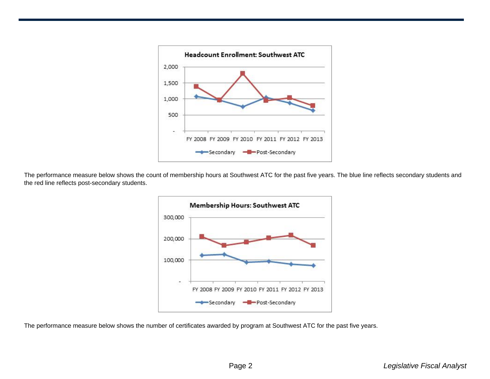

The performance measure below shows the count of membership hours at Southwest ATC for the past five years. The blue line reflects secondary students and the red line reflects post-secondary students.



The performance measure below shows the number of certificates awarded by program at Southwest ATC for the past five years.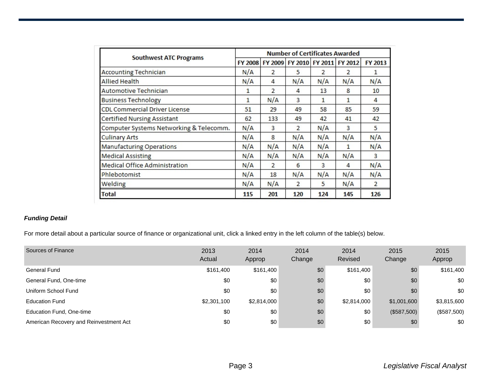| <b>Southwest ATC Programs</b>           | <b>Number of Certificates Awarded</b> |                |                |                |                                 |                |  |
|-----------------------------------------|---------------------------------------|----------------|----------------|----------------|---------------------------------|----------------|--|
|                                         | <b>FY 2008</b>                        |                |                |                | FY 2009 FY 2010 FY 2011 FY 2012 | FY 2013        |  |
| <b>Accounting Technician</b>            | N/A                                   | $\overline{2}$ | 5              | $\overline{2}$ | $\overline{2}$                  | 1              |  |
| <b>Allied Health</b>                    | N/A                                   | 4              | N/A            | N/A            | N/A                             | N/A            |  |
| Automotive Technician                   | 1                                     | 2              | 4              | 13             | 8                               | 10             |  |
| <b>Business Technology</b>              | 1                                     | N/A            | 3              | 1              | 1                               | 4              |  |
| <b>CDL Commercial Driver License</b>    | 51                                    | 29             | 49             | 58             | 85                              | 59             |  |
| Certified Nursing Assistant             | 62                                    | 133            | 49             | 42             | 41                              | 42             |  |
| Computer Systems Networking & Telecomm. | N/A                                   | 3              | $\overline{2}$ | N/A            | 3                               | 5              |  |
| <b>Culinary Arts</b>                    | N/A                                   | 8              | N/A            | N/A            | N/A                             | N/A            |  |
| <b>Manufacturing Operations</b>         | N/A                                   | N/A            | N/A            | N/A            | 1                               | N/A            |  |
| <b>Medical Assisting</b>                | N/A                                   | N/A            | N/A            | N/A            | N/A                             | 3              |  |
| <b>Medical Office Administration</b>    | N/A                                   | $\overline{2}$ | 6              | 3              | 4                               | N/A            |  |
| Phlebotomist                            | N/A                                   | 18             | N/A            | N/A            | N/A                             | N/A            |  |
| Welding                                 | N/A                                   | N/A            | $\overline{2}$ | 5              | N/A                             | $\overline{2}$ |  |
| Total                                   | 115                                   | 201            | 120            | 124            | 145                             | 126            |  |

## **Funding Detail**

For more detail about a particular source of finance or organizational unit, click a linked entry in the left column of the table(s) below.

| Sources of Finance                     | 2013<br>Actual | 2014<br>Approp | 2014<br>Change | 2014<br>Revised | 2015<br>Change | 2015<br>Approp |
|----------------------------------------|----------------|----------------|----------------|-----------------|----------------|----------------|
| General Fund                           | \$161,400      | \$161,400      | \$0            | \$161,400       | \$0            | \$161,400      |
| General Fund, One-time                 | \$0            | \$0            | \$0            | \$0             | \$0            | \$0            |
| Uniform School Fund                    | \$0            | \$0            | \$0            | \$0             | \$0            | \$0            |
| <b>Education Fund</b>                  | \$2,301,100    | \$2,814,000    | \$0            | \$2,814,000     | \$1,001,600    | \$3,815,600    |
| Education Fund, One-time               | \$0            | \$0            | \$0            | \$0             | (\$587,500)    | (\$587,500)    |
| American Recovery and Reinvestment Act | \$0            | \$0            | \$0            | \$0             | \$0            | \$0            |